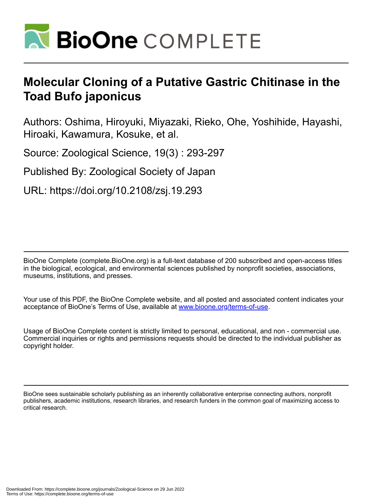

# **Molecular Cloning of a Putative Gastric Chitinase in the Toad Bufo japonicus**

Authors: Oshima, Hiroyuki, Miyazaki, Rieko, Ohe, Yoshihide, Hayashi, Hiroaki, Kawamura, Kosuke, et al.

Source: Zoological Science, 19(3) : 293-297

Published By: Zoological Society of Japan

URL: https://doi.org/10.2108/zsj.19.293

BioOne Complete (complete.BioOne.org) is a full-text database of 200 subscribed and open-access titles in the biological, ecological, and environmental sciences published by nonprofit societies, associations, museums, institutions, and presses.

Your use of this PDF, the BioOne Complete website, and all posted and associated content indicates your acceptance of BioOne's Terms of Use, available at www.bioone.org/terms-of-use.

Usage of BioOne Complete content is strictly limited to personal, educational, and non - commercial use. Commercial inquiries or rights and permissions requests should be directed to the individual publisher as copyright holder.

BioOne sees sustainable scholarly publishing as an inherently collaborative enterprise connecting authors, nonprofit publishers, academic institutions, research libraries, and research funders in the common goal of maximizing access to critical research.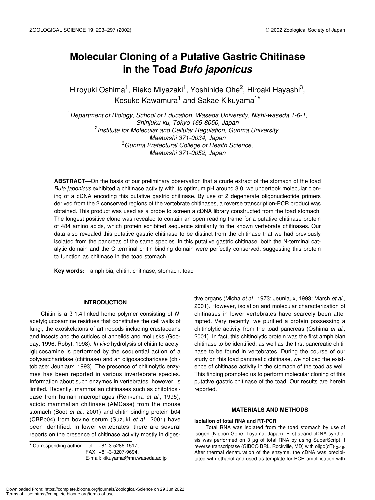# **Molecular Cloning of a Putative Gastric Chitinase in the Toad** *Bufo japonicus*

Hiroyuki Oshima<sup>1</sup>, Rieko Miyazaki<sup>1</sup>, Yoshihide Ohe<sup>2</sup>, Hiroaki Hayashi<sup>3</sup>, Kosuke Kawamura<sup>1</sup> and Sakae Kikuyama<sup>1\*</sup>

1 *Department of Biology, School of Education, Waseda University, Nishi-waseda 1-6-1, Shinjuku-ku, Tokyo 169-8050, Japan* 2 *Institute for Molecular and Cellular Regulation, Gunma University, Maebashi 371-0034, Japan* 3 *Gunma Prefectural College of Health Science, Maebashi 371-0052, Japan*

**ABSTRACT**—On the basis of our preliminary observation that a crude extract of the stomach of the toad *Bufo japonicus* exhibited a chitinase activity with its optimum pH around 3.0, we undertook molecular cloning of a cDNA encoding this putative gastric chitinase. By use of 2 degenerate oligonucleotide primers derived from the 2 conserved regions of the vertebrate chitinases, a reverse transcription-PCR product was obtained. This product was used as a probe to screen a cDNA library constructed from the toad stomach. The longest positive clone was revealed to contain an open reading frame for a putative chitinase protein of 484 amino acids, which protein exhibited sequence similarity to the known vertebrate chitinases. Our data also revealed this putative gastric chitinase to be distinct from the chitinase that we had previously isolated from the pancreas of the same species. In this putative gastric chitinase, both the N-terminal catalytic domain and the C-terminal chitin-binding domain were perfectly conserved, suggesting this protein to function as chitinase in the toad stomach.

**Key words:** amphibia, chitin, chitinase, stomach, toad

## **INTRODUCTION**

Chitin is a β-1,4-linked homo polymer consisting of *N*acetylglucosamine residues that constitutes the cell walls of fungi, the exoskeletons of arthropods including crustaceans and insects and the cuticles of annelids and mollusks (Gooday, 1996; Robyt, 1998). *In vivo* hydrolysis of chitin to acetylglucosamine is performed by the sequential action of a polysaccharidase (chitinase) and an oligosaccharidase (chitobiase; Jeuniaux, 1993). The presence of chitinolytic enzymes has been reported in various invertebrate species. Information about such enzymes in vertebrates, however, is limited. Recently, mammalian chitinases such as chitotriosidase from human macrophages (Renkema *et al*., 1995), acidic mammalian chitinase (AMCase) from the mouse stomach (Boot *et al*., 2001) and chitin-binding protein b04 (CBPb04) from bovine serum (Suzuki *et al*., 2001) have been identified. In lower vertebrates, there are several reports on the presence of chitinase activity mostly in diges-

\* Corresponding author: Tel. +81-3-5286-1517; FAX. +81-3-3207-9694.

E-mail: kikuyama@mn.waseda.ac.jp

tive organs (Micha *et al*., 1973; Jeuniaux, 1993; Marsh *et al*., 2001). However, isolation and molecular characterization of chitinases in lower vertebrates have scarcely been attempted. Very recently, we purified a protein possessing a chitinolytic activity from the toad pancreas (Oshima *et al*., 2001). In fact, this chitinolytic protein was the first amphibian chitinase to be identified, as well as the first pancreatic chitinase to be found in vertebrates. During the course of our study on this toad pancreatic chitinase, we noticed the existence of chitinase activity in the stomach of the toad as well. This finding prompted us to perform molecular cloning of this putative gastric chitinase of the toad. Our results are herein reported.

### **MATERIALS AND METHODS**

#### **Isolation of total RNA and RT-PCR**

Total RNA was isolated from the toad stomach by use of Isogen (Nippon Gene, Toyama, Japan). First-strand cDNA synthesis was performed on 3 µg of total RNA by using SuperScript II reverse transcriptase (GIBCO BRL, Rockville, MD) with  $oligo(dT)<sub>12–18</sub>$ . After thermal denaturation of the enzyme, the cDNA was precipitated with ethanol and used as template for PCR amplification with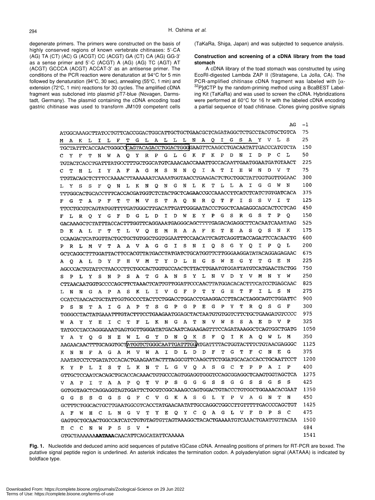degenerate primers. The primers were constructed on the basis of highly conserved regions of known vertebrate chitinases: 5'-CA (AG) TA (CT) (AC) G (ACGT) CC (ACGT) GA (CT) CA (AG) GG-3' as a sense primer and 5'-C (ACGT) A (AG) (AG) TC (AGT) AT (ACGT) GCCCA (ACGT) ACCAT-3' as an antisense primer. The conditions of the PCR reaction were denaturation at 94°C for 5 min followed by denaturation (94°C, 30 sec), annealing (55°C, 1 min) and extension (72°C, 1 min) reactions for 30 cycles. The amplified cDNA fragment was subcloned into plasmid pT7-blue (Novagen, Darmstadt, Germany). The plasmid containing the cDNA encoding toad gastric chitinase was used to transform JM109 competent cells (TaKaRa, Shiga, Japan) and was subjected to sequence analysis.

#### **Construction and screening of a cDNA library from the toad stomach**

A cDNA library of the toad stomach was constructed by using EcoRI-digested Lambda ZAP II (Stratagene, La Jolla, CA). The PCR-amplified chitinase cDNA fragment was labeled with  $\lceil \alpha - \frac{1}{2} \rceil$ <sup>32</sup>P]dCTP by the random-priming method using a BcaBEST Labeling Kit (TaKaRa) and was used to screen the cDNA. Hybridizations were performed at 60°C for 16 hr with the labeled cDNA encoding a partial sequence of toad chitinase. Clones giving positive signals

| AG                                                                                                                                                      | -1   |  |  |
|---------------------------------------------------------------------------------------------------------------------------------------------------------|------|--|--|
| ATGGCAAAGCTTATCCTGTTCACCGGACTGGCATTGCTGCTGAACGCTCAGATAGGCTCTGCCTACGTGCTGTCA                                                                             | 75   |  |  |
| s<br>N A Q I G S<br>A Y<br>v L<br>T G L A L L L<br>F<br>A<br>К<br>L.<br>Ι.<br>L<br>м                                                                    | 25   |  |  |
| TGCTATTTCACCAACTGGGCCCAGTACAGACCTGGACTGGGAAGTTCAAGCCTGACAATATTGACCCATGTCTA                                                                              |      |  |  |
| I.<br>D<br>P.<br>C<br>L<br>G K<br>F<br>к<br>Р<br>D<br>N<br>R<br>$\mathbf{P}$<br>G L<br>F<br>т<br>N<br>w<br>А<br>Q<br>Y<br>с<br>Y                        | 50   |  |  |
| TGTACTCACCTGATTTATGCCTTTGCTGGCATGTCAAACAACCAAATTGCCACAATTGAATGGAATGTAACT                                                                                | 225  |  |  |
| т<br>т<br>I.<br>Е<br>W<br>N<br>D<br>v<br>S.<br>N<br>N<br>Q<br>I<br>A<br>r<br>Y<br>$\mathbf{A}$<br>F<br>A<br>G<br>М<br>т<br>Н<br>L<br>C                  | 75   |  |  |
| TTGTACAGCTCTTTCCAAAACTTAAAAAATCAAAATGGTAACCTGAAGACTCTGCTGGCTATTGGTGGTTGGAAC                                                                             | 300  |  |  |
| L<br>I<br>G<br>G<br>w<br>N<br>N<br>G<br>N<br>L.<br>K<br>т<br>L<br>A<br>F<br>N<br>L<br>К<br>N Q<br>Y<br>S<br>S<br>Q<br>т.                                | 100  |  |  |
| TTTGGCACTGCACCTTTCACCACGATGGTCTCTACTGCTCAGAACCGCCAAACCTTCATCTCATCTGTGATCACA                                                                             | 375  |  |  |
| s<br>т<br>N<br>R Q<br>т<br>F<br>I<br>s<br>v<br>Т<br>F<br>т<br>т<br>м<br>V.<br>S<br>т<br>A<br>- Q<br>G T<br>А<br>Р<br>F                                  | 125  |  |  |
|                                                                                                                                                         | 450  |  |  |
| P<br>G<br>s<br>R<br>G<br>s<br>т<br>Р<br>Q<br>T.<br>D<br><b>W</b><br>Е<br>Y<br>G<br>F<br>D<br>G<br>L<br>D.<br>R<br>o<br>Y<br>F<br>L                      | 150  |  |  |
| GACAAAGCTCTATTTACCACTTTGGTTCAGGAAATGAGGGCAGCTTTTGAGACAGAGGCTTCACAATCAAATAAG                                                                             | 525  |  |  |
| Е<br>т<br>Е<br>s<br>s<br>к<br>Е<br>R<br>A A<br>F<br>А<br>o<br>N<br>F<br>т<br>т<br>L<br>V<br>Q<br>м<br>$\mathbf{A}$<br>L<br>к<br>D                       | 175  |  |  |
|                                                                                                                                                         | 600  |  |  |
| s<br>- S<br>G<br>Υ<br>O<br>I.<br>P<br>o<br>L<br>A V A G G<br>I.<br>N<br>I<br>Q<br>т<br>A<br>R L<br>м<br>V.<br>Ρ                                         | 200  |  |  |
| GCTCAGGCTTTGGATTACTTCCACGTTATGACCTATGATCTGCATGGTTCTTGGGAAGGATATACAGGAGAGAAC                                                                             | 675  |  |  |
| т<br>Y<br>L<br>$\mathbf{H}$<br>- S<br>w<br>Е<br>G<br>Y<br>G<br>Е<br>N<br>т<br>D<br>G<br>D Y<br>F<br>н<br>V<br>M<br>O A<br>L.<br>А                       | 225  |  |  |
| AGCCCACTGTATTCTAACCCTTCTGCCACTGGTGCCAACTCTTACTTGAATGTGGATTATGTCATGAACTACTGG                                                                             | 750  |  |  |
| Υ<br>Υ<br>T –<br>G<br>$\mathbf{A}$<br>N<br>s<br>Y<br>L<br>N<br>v<br>D<br>v<br>М<br>N<br>W<br>S<br>N<br>P<br>s<br>А<br>P L Y<br>s                        | 250  |  |  |
| CTTAACAATGGTGCCCCAGCTTCTAAACTCATTGTTGGATTCCCAACTTATGGACACACTTTCATCCTGAGCAAC                                                                             | 825  |  |  |
| $\mathbf F$<br>P<br>т<br>G<br>H<br>т<br>F<br>I<br>Ŀ<br>s<br>N<br>s<br>к<br>L<br>I.<br>V G<br>Y<br>G<br>$\mathbf{A}$<br>$\mathbf{P}$<br>A<br>N<br>N<br>L | 275  |  |  |
| CCATCTAACACTGCTATTGGTGCCCCTACTTCTGGACCTGGACCTGAAGGACCTTACACTAGGCAGTCTGGATTC                                                                             | 900  |  |  |
| $\mathbf{P}$<br>Υ<br>т<br>R<br>o<br>s<br>G<br>F<br>Ρ<br>т<br>s<br>G.<br>Ρ<br>G<br>P<br>Е<br>G<br>G<br>A                                                 | 300  |  |  |
| s<br>N<br>т<br>А<br>I<br>P<br>TGGGCCTACTATGAAATTTGTACTTTCCTGAAGAATGGAGCTACTAATGTGTGTCTTCTGCTGAAGATGTCCCC                                                | 975  |  |  |
| E<br>P<br>G<br>$\mathbf{A}$<br>т<br>N<br>$\mathbf V$<br>W<br>s<br>s<br>A<br>D<br>v                                                                      | 325  |  |  |
| Е<br>I.<br>c<br>т<br>F<br>L<br>к<br>N<br>A<br>Y<br>Y<br>w                                                                                               | 1050 |  |  |
| TATGCCTACCAGGGAAATGAGTGGTTGGGATATGACAATCAGAAGAGTTTCCAGATAAAGGCTCAGTGGCTGATG                                                                             | 350  |  |  |
| W<br>L<br>G<br>Y<br>D<br>N<br>$\circ$<br>к<br>S.<br>F<br>0<br>I.<br>к<br>A<br>o<br>w<br>L<br>м<br>A Y<br>$Q$ $G$<br>N<br>Е<br>Υ                         |      |  |  |
| AAGAACAACTTTGCAGGTGCTATGGTCTGGGCAATTGATTTGGATGATTTTACTGGTACTTTCTGTAACGAGGGC                                                                             | 1125 |  |  |
| F<br>т<br>G<br>т<br>F<br>C<br>N<br>Ε<br>G<br>I<br>D<br>Ŀ<br>D<br>D<br>$\mathbf{F}$<br>A<br>G<br>А<br>м<br>$\mathbf{V}$<br>w<br>А<br>N<br>N<br>к         | 375  |  |  |
| AAATATCCTCTGATATCCACACTGAAGAATACTTTAGGCGTTCAAGCTTCTGGATGCACACCACCTGCAATTCCT                                                                             | 1200 |  |  |
| P<br>т<br>L<br>A<br>s<br>G<br>C<br>т<br>Ρ<br>P<br>A<br>I<br>L<br>I.<br>s<br>т<br>L<br>к<br>G<br>V<br>Q<br>Υ<br>P<br>Ν<br>к                              | 400  |  |  |
| GTTGCTCCAATCACAGCTGCACCACAAACTGTGCCCAGTGGAGGTGGGTCCAGCGGAGGCTCAAGTGGTAGCTCA                                                                             | 1275 |  |  |
| s<br>G<br>S<br>S<br>G<br>G<br>G<br>s<br>s<br>G<br>G<br>s<br>т<br>v<br>P<br>s<br>I<br>т<br>A<br>A<br>P<br>O<br>A<br>P<br>v                               | 425  |  |  |
| GGTGGTAGCTCAGGAGGTAGTGGATTCTGCGTCGGCAAAGCCAGTGGACTGTACCCTGTGGCTGGAAACACGAAT                                                                             | 1350 |  |  |
| $V$ G<br>A<br>s<br>G<br>L<br>Y<br>Ρ<br>$\mathbf{V}$<br>$\mathbf{A}$<br>G<br>N<br>т<br>N<br>G<br>F<br>C<br>K<br>S.<br>G<br>G<br>s<br>G<br>s<br>G         | 450  |  |  |
| GCTTTCTGGCACTGCTTGAATGGCGTCACCTATGAACAATATTGCCAGGCTGGCCTTGTTTTTGACCCCAGCTGT                                                                             | 1425 |  |  |
| Ρ<br>s<br>C<br>$\mathbf{V}$<br>Υ<br>Е<br>Q<br>Y<br>C<br>Q A G L V F<br>D<br>H<br>C<br>L<br>N<br>G<br>т<br>$\mathbf{F}$<br>w<br>A                        | 475  |  |  |
| GAGTGCTGCAACTGGCCATCATCTGTGTAGTGTTAGTAAAGGCTACACTGAAAATGTCAAACTGAATTGTTACAA                                                                             | 1500 |  |  |
| P<br>s<br>s<br>v<br>$\star$<br>C.<br>C<br>N<br>w<br>Е                                                                                                   | 484  |  |  |
| GTGCTAAAAAAAAATAAACAACATTCAGCATATTCAAAAA                                                                                                                | 1541 |  |  |

**Fig. 1.** Nucleotide and deduced amino acid sequences of putative tGCase cDNA. Annealing positions of primers for RT-PCR are boxed. The putative signal peptide region is underlined. An asterisk indicates the termination codon. A polyadenylation signal (AATAAA) is indicated by boldface type.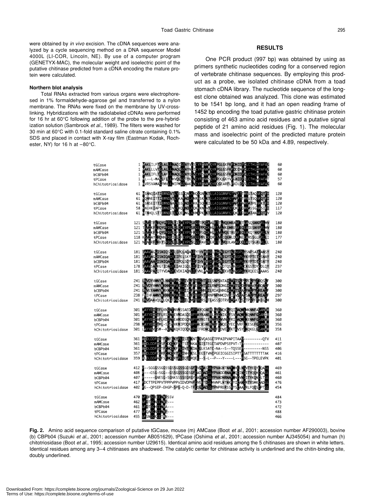were obtained by *in vivo* excision. The cDNA sequences were analyzed by a cycle sequencing method on a DNA sequencer Model 4000L (LI-COR, Lincoln, NE). By use of a computer program (GENETYX-MAC), the molecular weight and isoelectric point of the putative chitinase predicted from a cDNA encoding the mature protein were calculated.

#### **Northern blot analysis**

Total RNAs extracted from various organs were electrophoresed in 1% formaldehyde-agarose gel and transferred to a nylon membrane. The RNAs were fixed on the membrane by UV-crosslinking. Hybridizations with the radiolabeled cDNAs were performed for 16 hr at 60°C following addition of the probe to the pre-hybridization solution (Sambrook *et al*., 1989). The filters were washed for 30 min at 60°C with 0.1-fold standard saline citrate containing 0.1% SDS and placed in contact with X-ray film (Eastman Kodak, Rochester, NY) for 16 h at  $-80^{\circ}$ C.

# **RESULTS**

One PCR product (997 bp) was obtained by using as primers synthetic nucleotides coding for a conserved region of vertebrate chitinase sequences. By employing this product as a probe, we isolated chitinase cDNA from a toad stomach cDNA library. The nucleotide sequence of the longest clone obtained was analyzed. This clone was estimated to be 1541 bp long, and it had an open reading frame of 1452 bp encoding the toad putative gastric chitinase protein consisting of 463 amino acid residues and a putative signal peptide of 21 amino acid residues (Fig. 1). The molecular mass and isoelectric point of the predicted mature protein were calculated to be 50 kDa and 4.89, respectively.

| tGCase<br>mAMCase<br>bCBPb04<br>tPCase<br>hChitotriosidase | 1 MAKLILFTGLALL NAQIGSAYVLSCYFTMWAQYRPGLGKFKPDNIDP LLCTHLIYAFAG<br>1 MAKLLLVTGLALLLNAQLGSAYNLIICYFTMWAQYRPGLGSFKPDDINP LLCTHLIYAFAG<br>1 MAKLIFLTGLAFLLNAQLGSAYQLVCYFSMWAQYRPGLGSFKPDNIDP LLCTHLIYAFAG<br>WL--L-WAGLFLLLHVQLGSTYKLVCYFTNWSQYRPDQGKYVPGNIDPQLCTHLVYAFAT<br>$\mathbf{1}$<br>1 WVRSVAWAGFMVLLMIPWGSAAKLVCYFTNWAQYRQGEARFLPKDLDPSLCTHLIYAFAG | 60<br>60<br>60<br>57<br>60      |
|------------------------------------------------------------|----------------------------------------------------------------------------------------------------------------------------------------------------------------------------------------------------------------------------------------------------------------------------------------------------------------------------------------------------------|---------------------------------|
| tGCase<br>mAMCase<br>bCBPb04<br>tPCase<br>hChitotriosidase | 61 VONNEITTIEWNDVTLYKAENDLKNRNSKLKTLLAIGGWNFGTAPETTMVSTSONROTEI<br>MSNSEITTIEWNDVALYSSENDLKKKNSQLKILLAIGGWNFGTAPFTAMVATPENRKTEI<br>61<br>58 WNEHKIAPYEWNDDVLYKQFNDLKQKNKNLVTLLAIGGWNFGTQKFTDWVASSGNRSIFI<br>MTNHQLSTTEWNDETLYQEFNGLKKMNPKLKTLLAIGGWNFGTQKFTDMVATANNRQTFV<br>61                                                                           | 120<br>120<br>120<br>117<br>120 |
| tGCase<br>mAMCase<br>bCBPb04<br>tPCase<br>hChitotriosidase | 121 SSVITFLRQYGFDGLDIDKEYPGSRGSTPQDKALETTLVQEMRAAFETEASQSNKPRLMV<br>121 TSVIKFLROYGFDGLDLDV 3YPGSRGSPPODKHLFTVLVKEMREAFEGEATESNRPRLVV<br>118 KSMIAYLRONNFDGIDLDFEYPGSRGSPPEDKORFTMLIQEMLDAFNEEARSSGLPRLLI<br>121 NSALRFLRKYSFDGLDLDWEYPGSQGSPAVOKERFTTLVQDLANAFQQEAQTSGKERLLL                                                                            | 180<br>180<br>180<br>177<br>180 |
| tGCase<br>mAMCase<br>bCBPb04<br>tPCase<br>hChitotriosidase | 181   JAAVAGGISNIQSGYQIPQLAQALDYFHVAITYDLHGSWEGYTGENSPLYSNPSATGANSY<br>181   JAAVAGGISNIQAGYEIPELSKYLDFIHVAITYDLHGSWEGYTGENSPLYKYPTETGSNAY<br>181   JAAVAAGISNIQAGYEIPQLSQYLDFIHVAITYDFHGSWEGYTGENSPLYKYPTDTGSNTY<br>178   JAAVAAGISNIQ                                                                                                                  | 240<br>240<br>240<br>237<br>240 |
| tGCase<br>mAMCase<br>bCBPb04<br>tPCase<br>hChitotriosidase | 241 LAVDYVANYMLNNGAPASKLIVGFPITYGHTFILSNPSNTAITGAPTSGPGPEGPYTROSGF<br>241 LAVDYVANYMKNNGAPAEKLIVGFPEKGHTFILRNPSDNGIGAPTSGDGPAGAYTROAGF<br>241 LAVEYAANYMKKNGAPAEKLIITGFPAKGHNFILRDASNNGIGAPTSGAGPAGPYTREAGF<br>238 FNIHFAMNWKNNGAPAEKLLLGFPINGRTFRNPNPNMCDVSIPVSGAGSAGSYTREAGE<br>241 LUVDAAVQVILQKGTPASKLILLGMPINGRSFTLASSSDTRVGAPATSSGTPGPFIKEGOM      | 300<br>300<br>300<br>297<br>300 |
| tGCase<br>mAMCase<br>bCBPb04<br>tPCase<br>hChitotriosidase | 301 WAYYEIICTFLKNGATNVWSSAEDVPYAYQGNEWLGYDNQKSFQIKAQWUMKNNFAGAWW<br>301 WAYYEIICTFLRSGATEVWDASQEVPYAYKANEWLGYDNIKSFSVKAQWUKQNNFGGAWIM<br>301 WAYYETCAFLKDGATEANDDSQNVPYAYKGTEWYGYDNVNSFRIKAOWLXENNFCGANY<br>298 WAYYETCTWL-SGSTVKWIPDQRVPYACKSNEWYGFDNQESYECKVRFLKESGFCGAMY<br>301 LAYYEVGSW--KGATKQRIQDQKVPYIFRDNQWGFDDVESFKTKVSYLKQKGLGGAMW            | 360<br>360<br>360<br>356<br>358 |
| tGCase<br>mAMCase<br>bCBPb04<br>tPCase<br>hChitotriosidase | 361 AUDLDDETGTFCNQGKFPLINTLKDALGLKSATC-NA--S--TQSSEP---------NSS<br>357 AUDLDDFEGRFCNOGRYPLINHLKSLLEGSTVNCPGEICGGISIPTTPSATTTTTTTTAK<br>359 ALDLDDFAGFSCNOGRYPLIQTLRQEL--S-L--P---Y----L---PSG--TPELEVPK                                                                                                                                                 | 411<br>407<br>406<br>416<br>401 |
| tGCase<br>mAMCase<br>bCBPb04<br>tPCase<br>hChitotriosidase | 407 2-----GNESG-SGNKSSSSEGRGYGAGSADGLYPVADNRNAF ING VNGITYKONGLTGL<br>417 PDCTTPEPPVTPPPVPPVIDVDPNFCVEKTDGLHVNPLNTNKFYIGANGRTYSMKGADGL<br>402 BG--QPSEP-EHGP-SPG-Q-D-TFCQGKADGLYPNPRERSSFYSCAAGRLFQQSCPTGL                                                                                                                                               | 469<br>461<br>460<br>476<br>454 |
| tGCase<br>mAMCase<br>bCBPb04<br>tPCase<br>hChitotriosidase | 470 VFDPSCECOWPSSV<br>VEDTSCNCCNWP----<br>462<br>VFDTSCHCCVWA---<br>461<br>VFQASCNCCNVP<br>477<br>455 VFSNSCKCCTWN---                                                                                                                                                                                                                                    | 484<br>473<br>472<br>488<br>466 |

**Fig. 2.** Amino acid sequence comparison of putative tGCase, mouse (m) AMCase (Boot *et al*., 2001; accession number AF290003), bovine (b) CBPb04 (Suzuki *et al*., 2001; accession number AB051629), tPCase (Oshima *et al*., 2001; accession number AJ345054) and human (h) chitotriosidase (Boot *et al*., 1995; accession number U29615). Identical amino acid residues among the 5 chitinases are shown in white letters. Identical residues among any 3–4 chitinases are shadowed. The catalytic center for chitinase activity is underlined and the chitin-binding site, doubly underlined.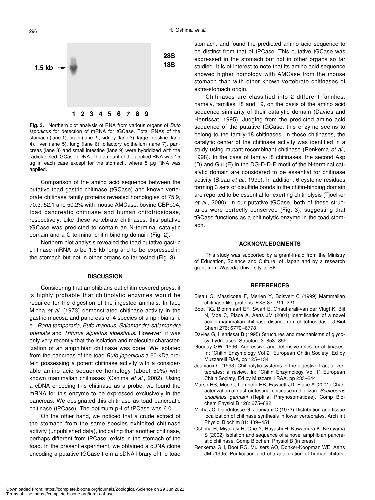

**Fig. 3.** Northern blot analysis of RNA from various organs of *Bufo japonicus* for detection of mRNA for tGCase. Total RNAs of the stomach (lane 1), brain (lane 2), kidney (lane 3), large intestine (lane 4), liver (lane 5), lung (lane 6), olfactory epithelium (lane 7), pancreas (lane 8) and small intestine (lane 9) were hybridized with the radiolabeled tGCase cDNA. The amount of the applied RNA was 15 µg in each case except for the stomach, where 5 µg RNA was applied.

Comparison of the amino acid sequence between the putative toad gastric chitinase (tGCase) and known vertebrate chitinase family proteins revealed homologies of 75.9, 70.3, 52.1 and 50.2% with mouse AMCase, bovine CBPb04, toad pancreatic chitinase and human chitotriosidase, respectively. Like these vertebrate chitinases, this putative tGCase was predicted to contain an N-terminal catalytic domain and a C-terminal chitin-binding domain (Fig. 2).

Northern blot analysis revealed the toad putative gastric chitinase mRNA to be 1.5 kb long and to be expressed in the stomach but not in other organs so far tested (Fig. 3).

#### **DISCUSSION**

Considering that amphibians eat chitin-covered preys, it is highly probable that chitinolytic enzymes would be required for the digestion of the ingested animals. In fact, Micha *et al*. (1973) demonstrated chitinase activity in the gastric mucosa and pancreas of 4 species of amphibians, i. e., *Rana temporaria*, *Bufo marinus*, *Salamandra salamandra taeniata* and *Triturus alpestris alpestinus*. However, it was only very recently that the isolation and molecular characterization of an amphibian chitinase was done. We isolated from the pancreas of the toad *Bufo japonicus* a 60-kDa protein possessing a potent chitinase activity with a considerable amino acid sequence homology (about 50%) with known mammalian chitinases (Oshima *et al*., 2002). Using a cDNA encoding this chitinase as a probe, we found the mRNA for this enzyme to be expressed exclusively in the pancreas. We designated this chitinase as toad pancreatic chitinase (tPCase). The optimum pH of tPCase was 6.0.

On the other hand, we noticed that a crude extract of the stomach from the same species exhibited chitinase activity (unpublished data), indicating that another chitinase, perhaps different from tPCase, exists in the stomach of the toad. In the present experiment, we obtained a cDNA clone encoding a putative tGCase from a cDNA library of the toad stomach, and found the predicted amino acid sequence to be distinct from that of tPCase. This putative tGCase was expressed in the stomach but not in other organs so far studied. It is of interest to note that its amino acid sequence showed higher homology with AMCase from the mouse stomach than with other known vertebrate chitinases of extra-stomach origin.

Chitinases are classified into 2 different families, namely, families 18 and 19, on the basis of the amino acid sequence similarity of their catalytic domain (Davies and Henrissat, 1995). Judging from the predicted amino acid sequence of the putative tGCase, this enzyme seems to belong to the family-18 chitinases. In these chitinases, the catalytic center of the chitinase activity was identified in a study using mutant recombinant chitinase (Renkema *et al*., 1998). In the case of family-18 chitinases, the second Asp (D) and Glu (E) in the DG-D-D-E motif of the N-terminal catalytic domain are considered to be essential for chitinase activity (Bleau *et al*., 1999). In addition, 6 cysteine residues forming 3 sets of disulfide bonds in the chitin-binding domain are reported to be essential for exerting chitinolysis (Tjoelker *et al*., 2000). In our putative tGCase, both of these structures were perfectly conserved (Fig. 3), suggesting that tGCase functions as a chitinolytic enzyme in the toad stomach.

#### **ACKNOWLEDGMENTS**

This study was supported by a grant-in-aid from the Ministry of Education, Science and Culture, of Japan and by a research grant from Waseda University to SK.

#### **REFERENCES**

- Bleau G, Massicotte F, Merlen Y, Boisvert C (1999) Mammalian chitinase-like proteins. EXS 87: 211–221
- Boot RG, Blommaart EF, Swart E, Ghauharali-van der Vlugt K, Bijl N, Moe C, Place A, Aerts JM (2001) Identification of a novel acidic mammalian chitinase distinct from chitotriosidase. J Biol Chem 276: 6770–6778
- Davies G, Henrissat B (1995) Structures and mechanisms of glycosyl hydrolases. Structure 3: 853–859
- Gooday GW (1996) Aggressive and defensive roles for chitinases. In: "Chitin Enzymology Vol 2" European Chitin Society, Ed by Muzzarelli RAA, pp 125–134
- Jeuniaux C (1993) Chitinolytic systems in the digestive tract of vertebrates: a review. In: "Chitin Enzymology Vol 1" European Chitin Society, Ed by Muzzarelli RAA, pp 233–244
- Marsh RS, Moe C, Lomneth RB, Fawcett JD, Place A (2001) Characterization of gastrointestinal chitinase in the lizard *Sceloporus undulatus garmani* (Reptilia: Phrynosomatidae). Comp Biochem Physiol B 128: 675–682
- Micha JC, Dandrifosse G, Jeuniaux C (1973) Distribution and tissue localization of chitinase synthesis in lower vertebrates. Arch Int Physiol Biochim 81: 439–451
- Oshima H, Miyazaki R, Ohe Y, Hayashi H, Kawamura K, Kikuyama S (2002) Isolation and sequence of a novel amphibian pancreatic chitinase. Comp Biochem Physiol B (in press)
- Renkema GH, Boot RG, Muijsers AO, Donker-Koopman WE, Aerts JM (1995) Purification and characterization of human chitotri-